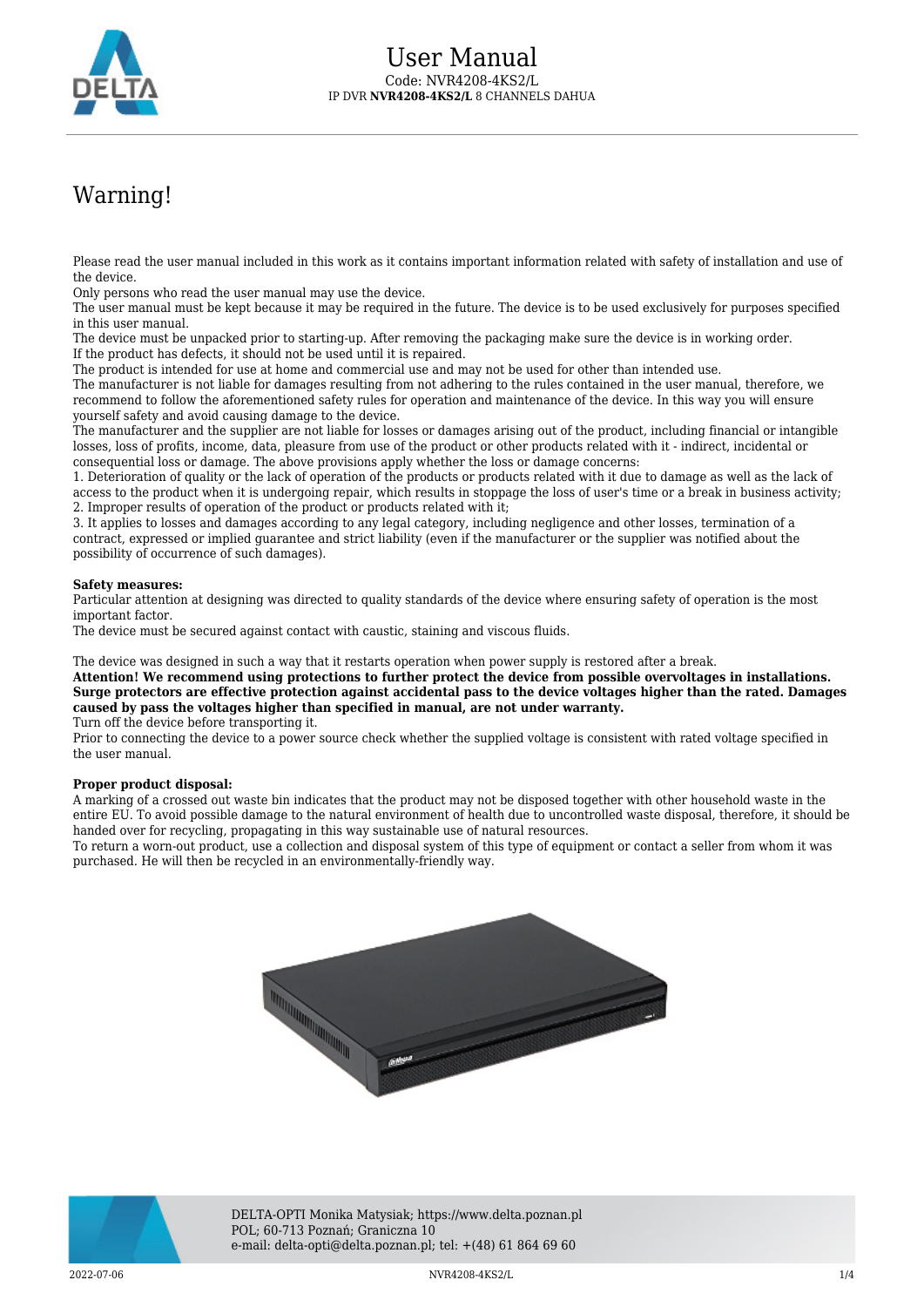

# Warning!

Please read the user manual included in this work as it contains important information related with safety of installation and use of the device.

Only persons who read the user manual may use the device.

The user manual must be kept because it may be required in the future. The device is to be used exclusively for purposes specified in this user manual.

The device must be unpacked prior to starting-up. After removing the packaging make sure the device is in working order. If the product has defects, it should not be used until it is repaired.

The product is intended for use at home and commercial use and may not be used for other than intended use.

The manufacturer is not liable for damages resulting from not adhering to the rules contained in the user manual, therefore, we recommend to follow the aforementioned safety rules for operation and maintenance of the device. In this way you will ensure yourself safety and avoid causing damage to the device.

The manufacturer and the supplier are not liable for losses or damages arising out of the product, including financial or intangible losses, loss of profits, income, data, pleasure from use of the product or other products related with it - indirect, incidental or consequential loss or damage. The above provisions apply whether the loss or damage concerns:

1. Deterioration of quality or the lack of operation of the products or products related with it due to damage as well as the lack of access to the product when it is undergoing repair, which results in stoppage the loss of user's time or a break in business activity; 2. Improper results of operation of the product or products related with it;

3. It applies to losses and damages according to any legal category, including negligence and other losses, termination of a contract, expressed or implied guarantee and strict liability (even if the manufacturer or the supplier was notified about the possibility of occurrence of such damages).

#### **Safety measures:**

Particular attention at designing was directed to quality standards of the device where ensuring safety of operation is the most important factor.

The device must be secured against contact with caustic, staining and viscous fluids.

The device was designed in such a way that it restarts operation when power supply is restored after a break.

**Attention! We recommend using protections to further protect the device from possible overvoltages in installations. Surge protectors are effective protection against accidental pass to the device voltages higher than the rated. Damages caused by pass the voltages higher than specified in manual, are not under warranty.**

Turn off the device before transporting it.

Prior to connecting the device to a power source check whether the supplied voltage is consistent with rated voltage specified in the user manual.

#### **Proper product disposal:**

A marking of a crossed out waste bin indicates that the product may not be disposed together with other household waste in the entire EU. To avoid possible damage to the natural environment of health due to uncontrolled waste disposal, therefore, it should be handed over for recycling, propagating in this way sustainable use of natural resources.

To return a worn-out product, use a collection and disposal system of this type of equipment or contact a seller from whom it was purchased. He will then be recycled in an environmentally-friendly way.





DELTA-OPTI Monika Matysiak; https://www.delta.poznan.pl POL; 60-713 Poznań; Graniczna 10 e-mail: delta-opti@delta.poznan.pl; tel: +(48) 61 864 69 60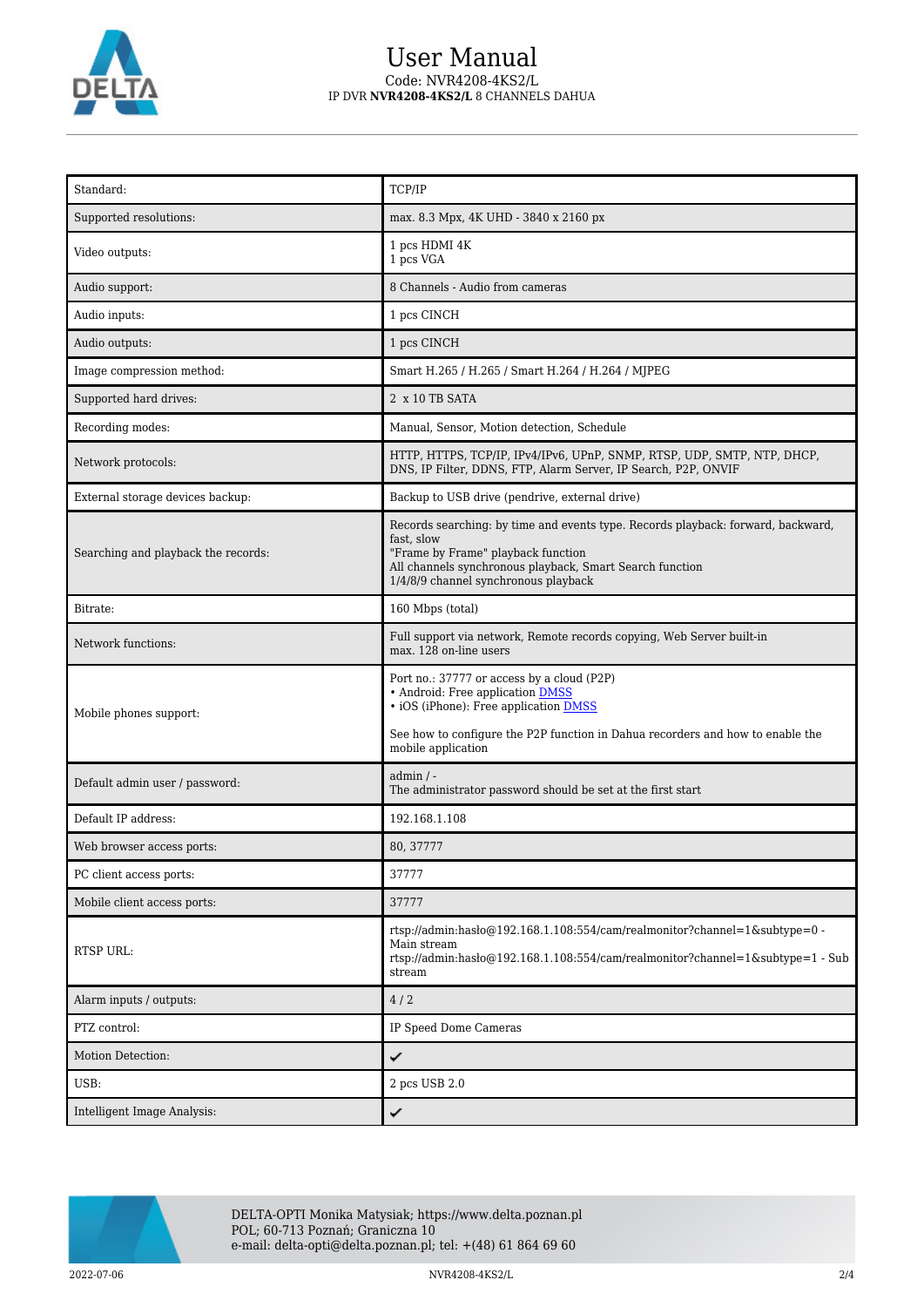

## User Manual Code: NVR4208-4KS2/L IP DVR **NVR4208-4KS2/L** 8 CHANNELS DAHUA

| Standard:                           | TCP/IP                                                                                                                                                                                                                                   |  |
|-------------------------------------|------------------------------------------------------------------------------------------------------------------------------------------------------------------------------------------------------------------------------------------|--|
| Supported resolutions:              | max. 8.3 Mpx, 4K UHD - 3840 x 2160 px                                                                                                                                                                                                    |  |
| Video outputs:                      | 1 pcs HDMI 4K<br>1 pcs VGA                                                                                                                                                                                                               |  |
| Audio support:                      | 8 Channels - Audio from cameras                                                                                                                                                                                                          |  |
| Audio inputs:                       | 1 pcs CINCH                                                                                                                                                                                                                              |  |
| Audio outputs:                      | 1 pcs CINCH                                                                                                                                                                                                                              |  |
| Image compression method:           | Smart H.265 / H.265 / Smart H.264 / H.264 / MJPEG                                                                                                                                                                                        |  |
| Supported hard drives:              | 2 x 10 TB SATA                                                                                                                                                                                                                           |  |
| Recording modes:                    | Manual, Sensor, Motion detection, Schedule                                                                                                                                                                                               |  |
| Network protocols:                  | HTTP, HTTPS, TCP/IP, IPv4/IPv6, UPnP, SNMP, RTSP, UDP, SMTP, NTP, DHCP,<br>DNS, IP Filter, DDNS, FTP, Alarm Server, IP Search, P2P, ONVIF                                                                                                |  |
| External storage devices backup:    | Backup to USB drive (pendrive, external drive)                                                                                                                                                                                           |  |
| Searching and playback the records: | Records searching: by time and events type. Records playback: forward, backward,<br>fast, slow<br>"Frame by Frame" playback function<br>All channels synchronous playback, Smart Search function<br>1/4/8/9 channel synchronous playback |  |
| Bitrate:                            | 160 Mbps (total)                                                                                                                                                                                                                         |  |
| Network functions:                  | Full support via network, Remote records copying, Web Server built-in<br>max. 128 on-line users                                                                                                                                          |  |
| Mobile phones support:              | Port no.: 37777 or access by a cloud (P2P)<br>• Android: Free application DMSS<br>• iOS (iPhone): Free application <b>DMSS</b><br>See how to configure the P2P function in Dahua recorders and how to enable the<br>mobile application   |  |
| Default admin user / password:      | $admin / -$<br>The administrator password should be set at the first start                                                                                                                                                               |  |
| Default IP address:                 | 192.168.1.108                                                                                                                                                                                                                            |  |
| Web browser access ports:           | 80, 37777                                                                                                                                                                                                                                |  |
| PC client access ports:             | 37777                                                                                                                                                                                                                                    |  |
| Mobile client access ports:         | 37777                                                                                                                                                                                                                                    |  |
| RTSP URL:                           | rtsp://admin.hasbo@192.168.1.108:554/cam/realmonitor?channel=1&subtype=0 -<br>Main stream<br>rtsp://admin:haslo@192.168.1.108:554/cam/realmonitor?channel=1&subtype=1 - Sub<br>stream                                                    |  |
| Alarm inputs / outputs:             | 4/2                                                                                                                                                                                                                                      |  |
| PTZ control:                        | IP Speed Dome Cameras                                                                                                                                                                                                                    |  |
| Motion Detection:                   | ✓                                                                                                                                                                                                                                        |  |
| USB:                                | 2 pcs USB 2.0                                                                                                                                                                                                                            |  |
| Intelligent Image Analysis:         | ✓                                                                                                                                                                                                                                        |  |



2022-07-06 NVR4208-4KS2/L 2/4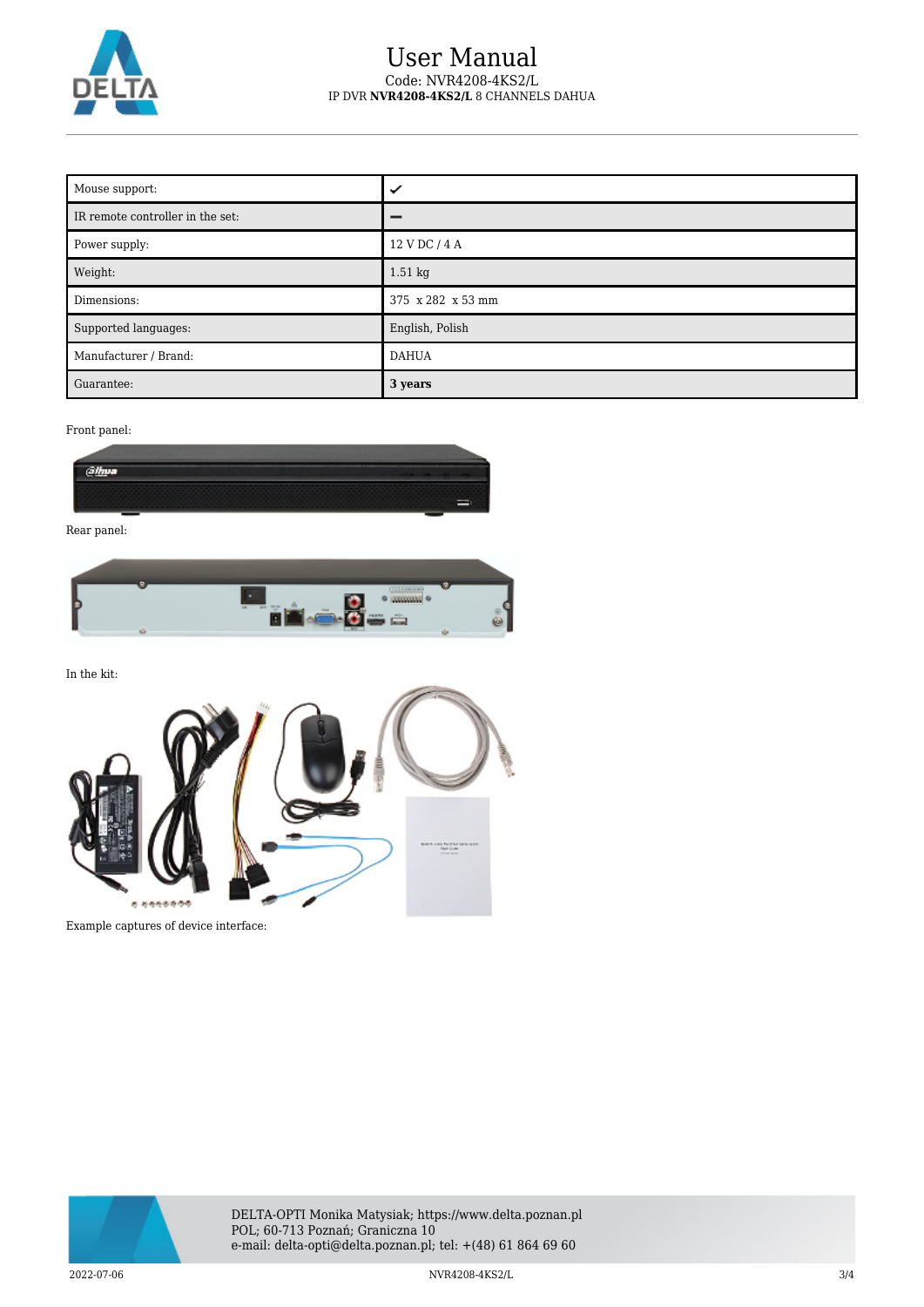

### User Manual Code: NVR4208-4KS2/L IP DVR **NVR4208-4KS2/L** 8 CHANNELS DAHUA

| Mouse support:                   | ✓                 |
|----------------------------------|-------------------|
| IR remote controller in the set: |                   |
| Power supply:                    | 12 V DC / 4 A     |
| Weight:                          | $1.51$ kg         |
| Dimensions:                      | 375 x 282 x 53 mm |
| Supported languages:             | English, Polish   |
| Manufacturer / Brand:            | <b>DAHUA</b>      |
| Guarantee:                       | 3 years           |

Front panel:



Rear panel:



In the kit: